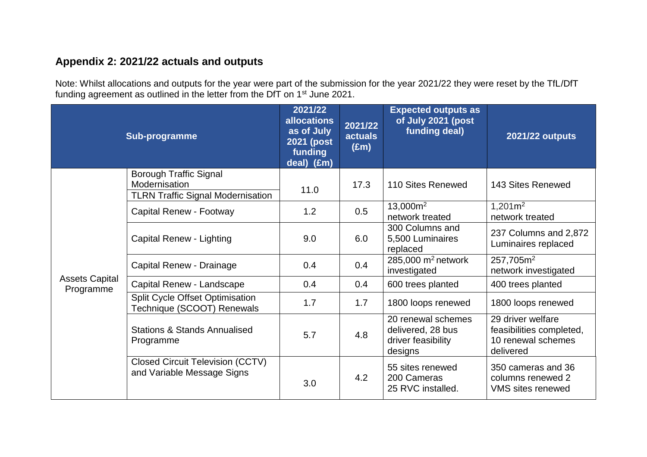## **Appendix 2: 2021/22 actuals and outputs**

Note: Whilst allocations and outputs for the year were part of the submission for the year 2021/22 they were reset by the TfL/DfT funding agreement as outlined in the letter from the DfT on 1<sup>st</sup> June 2021.

| Sub-programme                      |                                                                                            | 2021/22<br><b>allocations</b><br>as of July<br><b>2021 (post</b><br>funding<br>deal) (£m) | 2021/22<br><b>actuals</b><br>$(\text{Em})$ | <b>Expected outputs as</b><br>of July 2021 (post<br>funding deal)        | <b>2021/22 outputs</b>                                                           |
|------------------------------------|--------------------------------------------------------------------------------------------|-------------------------------------------------------------------------------------------|--------------------------------------------|--------------------------------------------------------------------------|----------------------------------------------------------------------------------|
| <b>Assets Capital</b><br>Programme | <b>Borough Traffic Signal</b><br>Modernisation<br><b>TLRN Traffic Signal Modernisation</b> | 11.0                                                                                      | 17.3                                       | 110 Sites Renewed                                                        | 143 Sites Renewed                                                                |
|                                    | Capital Renew - Footway                                                                    | 1.2                                                                                       | 0.5                                        | 13,000m <sup>2</sup><br>network treated                                  | $1,201m^2$<br>network treated                                                    |
|                                    | Capital Renew - Lighting                                                                   | 9.0                                                                                       | 6.0                                        | 300 Columns and<br>5,500 Luminaires<br>replaced                          | 237 Columns and 2,872<br>Luminaires replaced                                     |
|                                    | Capital Renew - Drainage                                                                   | 0.4                                                                                       | 0.4                                        | 285,000 $m2$ network<br>investigated                                     | 257,705m <sup>2</sup><br>network investigated                                    |
|                                    | Capital Renew - Landscape                                                                  | 0.4                                                                                       | 0.4                                        | 600 trees planted                                                        | 400 trees planted                                                                |
|                                    | <b>Split Cycle Offset Optimisation</b><br>Technique (SCOOT) Renewals                       | 1.7                                                                                       | 1.7                                        | 1800 loops renewed                                                       | 1800 loops renewed                                                               |
|                                    | <b>Stations &amp; Stands Annualised</b><br>Programme                                       | 5.7                                                                                       | 4.8                                        | 20 renewal schemes<br>delivered, 28 bus<br>driver feasibility<br>designs | 29 driver welfare<br>feasibilities completed,<br>10 renewal schemes<br>delivered |
|                                    | <b>Closed Circuit Television (CCTV)</b><br>and Variable Message Signs                      | 3.0                                                                                       | 4.2                                        | 55 sites renewed<br>200 Cameras<br>25 RVC installed.                     | 350 cameras and 36<br>columns renewed 2<br><b>VMS</b> sites renewed              |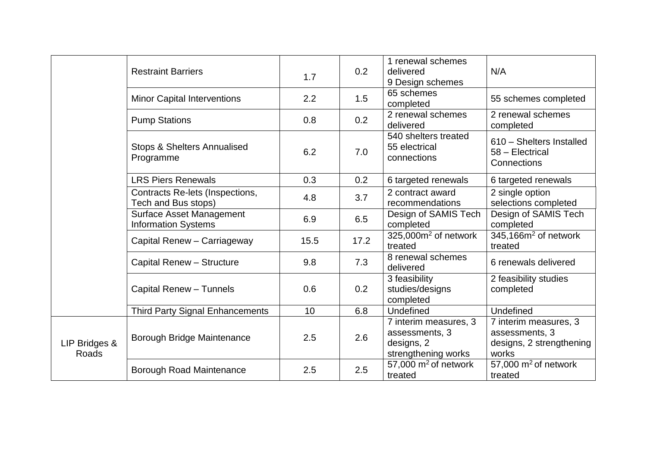|                        | <b>Restraint Barriers</b>                                     | 1.7             | 0.2  | 1 renewal schemes<br>delivered<br>9 Design schemes                           | N/A                                                                          |
|------------------------|---------------------------------------------------------------|-----------------|------|------------------------------------------------------------------------------|------------------------------------------------------------------------------|
|                        | <b>Minor Capital Interventions</b>                            | 2.2             | 1.5  | 65 schemes<br>completed                                                      | 55 schemes completed                                                         |
|                        | <b>Pump Stations</b>                                          | 0.8             | 0.2  | 2 renewal schemes<br>delivered                                               | 2 renewal schemes<br>completed                                               |
|                        | <b>Stops &amp; Shelters Annualised</b><br>Programme           | 6.2             | 7.0  | 540 shelters treated<br>55 electrical<br>connections                         | 610 - Shelters Installed<br>58 - Electrical<br>Connections                   |
|                        | <b>LRS Piers Renewals</b>                                     | 0.3             | 0.2  | 6 targeted renewals                                                          | 6 targeted renewals                                                          |
|                        | Contracts Re-lets (Inspections,<br>Tech and Bus stops)        | 4.8             | 3.7  | 2 contract award<br>recommendations                                          | 2 single option<br>selections completed                                      |
|                        | <b>Surface Asset Management</b><br><b>Information Systems</b> | 6.9             | 6.5  | Design of SAMIS Tech<br>completed                                            | Design of SAMIS Tech<br>completed                                            |
|                        | Capital Renew - Carriageway                                   | 15.5            | 17.2 | $325,000m^2$ of network<br>treated                                           | 345,166m <sup>2</sup> of network<br>treated                                  |
|                        | Capital Renew - Structure                                     | 9.8             | 7.3  | 8 renewal schemes<br>delivered                                               | 6 renewals delivered                                                         |
|                        | Capital Renew - Tunnels                                       | 0.6             | 0.2  | 3 feasibility<br>studies/designs<br>completed                                | 2 feasibility studies<br>completed                                           |
|                        | <b>Third Party Signal Enhancements</b>                        | 10 <sup>°</sup> | 6.8  | Undefined                                                                    | Undefined                                                                    |
| LIP Bridges &<br>Roads | Borough Bridge Maintenance                                    | 2.5             | 2.6  | 7 interim measures, 3<br>assessments, 3<br>designs, 2<br>strengthening works | 7 interim measures, 3<br>assessments, 3<br>designs, 2 strengthening<br>works |
|                        | <b>Borough Road Maintenance</b>                               | 2.5             | 2.5  | 57,000 $m2$ of network<br>treated                                            | 57,000 $m2$ of network<br>treated                                            |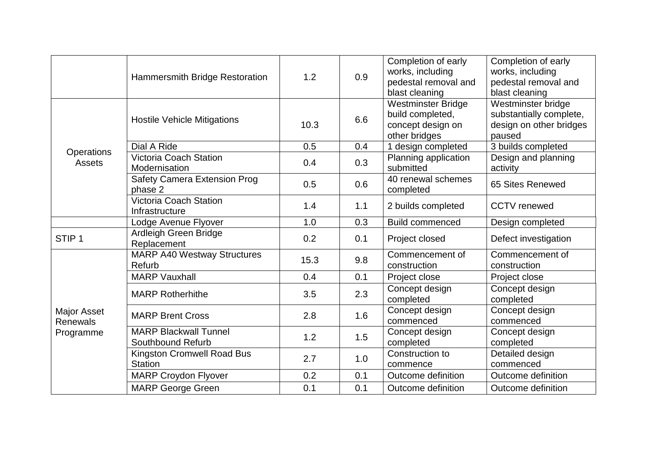|                                             | Hammersmith Bridge Restoration                      | 1.2  | 0.9 | Completion of early<br>works, including<br>pedestal removal and<br>blast cleaning   | Completion of early<br>works, including<br>pedestal removal and<br>blast cleaning  |
|---------------------------------------------|-----------------------------------------------------|------|-----|-------------------------------------------------------------------------------------|------------------------------------------------------------------------------------|
|                                             | <b>Hostile Vehicle Mitigations</b>                  | 10.3 | 6.6 | <b>Westminster Bridge</b><br>build completed,<br>concept design on<br>other bridges | Westminster bridge<br>substantially complete,<br>design on other bridges<br>paused |
|                                             | Dial A Ride                                         | 0.5  | 0.4 | 1 design completed                                                                  | 3 builds completed                                                                 |
| <b>Operations</b><br><b>Assets</b>          | <b>Victoria Coach Station</b><br>Modernisation      | 0.4  | 0.3 | Planning application<br>submitted                                                   | Design and planning<br>activity                                                    |
|                                             | <b>Safety Camera Extension Prog</b><br>phase 2      | 0.5  | 0.6 | 40 renewal schemes<br>completed                                                     | 65 Sites Renewed                                                                   |
|                                             | <b>Victoria Coach Station</b><br>Infrastructure     | 1.4  | 1.1 | 2 builds completed                                                                  | <b>CCTV</b> renewed                                                                |
|                                             | Lodge Avenue Flyover                                | 1.0  | 0.3 | <b>Build commenced</b>                                                              | Design completed                                                                   |
| STIP <sub>1</sub>                           | Ardleigh Green Bridge<br>Replacement                | 0.2  | 0.1 | Project closed                                                                      | Defect investigation                                                               |
|                                             | <b>MARP A40 Westway Structures</b><br>Refurb        | 15.3 | 9.8 | Commencement of<br>construction                                                     | Commencement of<br>construction                                                    |
|                                             | <b>MARP Vauxhall</b>                                | 0.4  | 0.1 | Project close                                                                       | Project close                                                                      |
| Major Asset<br><b>Renewals</b><br>Programme | <b>MARP Rotherhithe</b>                             | 3.5  | 2.3 | Concept design<br>completed                                                         | Concept design<br>completed                                                        |
|                                             | <b>MARP Brent Cross</b>                             | 2.8  | 1.6 | Concept design<br>commenced                                                         | Concept design<br>commenced                                                        |
|                                             | <b>MARP Blackwall Tunnel</b><br>Southbound Refurb   | 1.2  | 1.5 | Concept design<br>completed                                                         | Concept design<br>completed                                                        |
|                                             | <b>Kingston Cromwell Road Bus</b><br><b>Station</b> | 2.7  | 1.0 | Construction to<br>commence                                                         | Detailed design<br>commenced                                                       |
|                                             | <b>MARP Croydon Flyover</b>                         | 0.2  | 0.1 | Outcome definition                                                                  | Outcome definition                                                                 |
|                                             | <b>MARP George Green</b>                            | 0.1  | 0.1 | Outcome definition                                                                  | Outcome definition                                                                 |